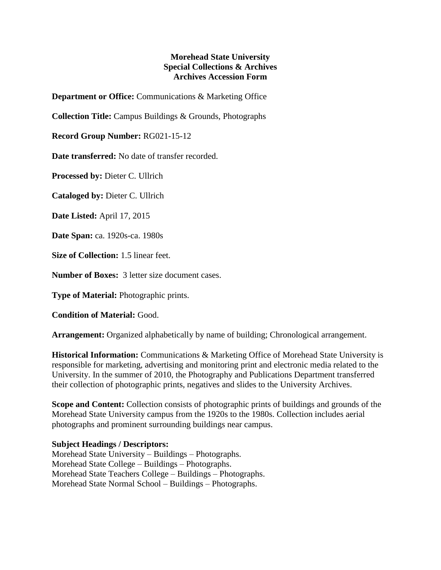## **Morehead State University Special Collections & Archives Archives Accession Form**

**Department or Office:** Communications & Marketing Office

**Collection Title:** Campus Buildings & Grounds, Photographs

**Record Group Number:** RG021-15-12

**Date transferred:** No date of transfer recorded.

**Processed by:** Dieter C. Ullrich

**Cataloged by:** Dieter C. Ullrich

**Date Listed:** April 17, 2015

**Date Span:** ca. 1920s-ca. 1980s

**Size of Collection:** 1.5 linear feet.

**Number of Boxes:** 3 letter size document cases.

**Type of Material:** Photographic prints.

**Condition of Material:** Good.

**Arrangement:** Organized alphabetically by name of building; Chronological arrangement.

**Historical Information:** Communications & Marketing Office of Morehead State University is responsible for marketing, advertising and monitoring print and electronic media related to the University. In the summer of 2010, the Photography and Publications Department transferred their collection of photographic prints, negatives and slides to the University Archives.

**Scope and Content:** Collection consists of photographic prints of buildings and grounds of the Morehead State University campus from the 1920s to the 1980s. Collection includes aerial photographs and prominent surrounding buildings near campus.

## **Subject Headings / Descriptors:**

Morehead State University – Buildings – Photographs. Morehead State College – Buildings – Photographs. Morehead State Teachers College – Buildings – Photographs. Morehead State Normal School – Buildings – Photographs.